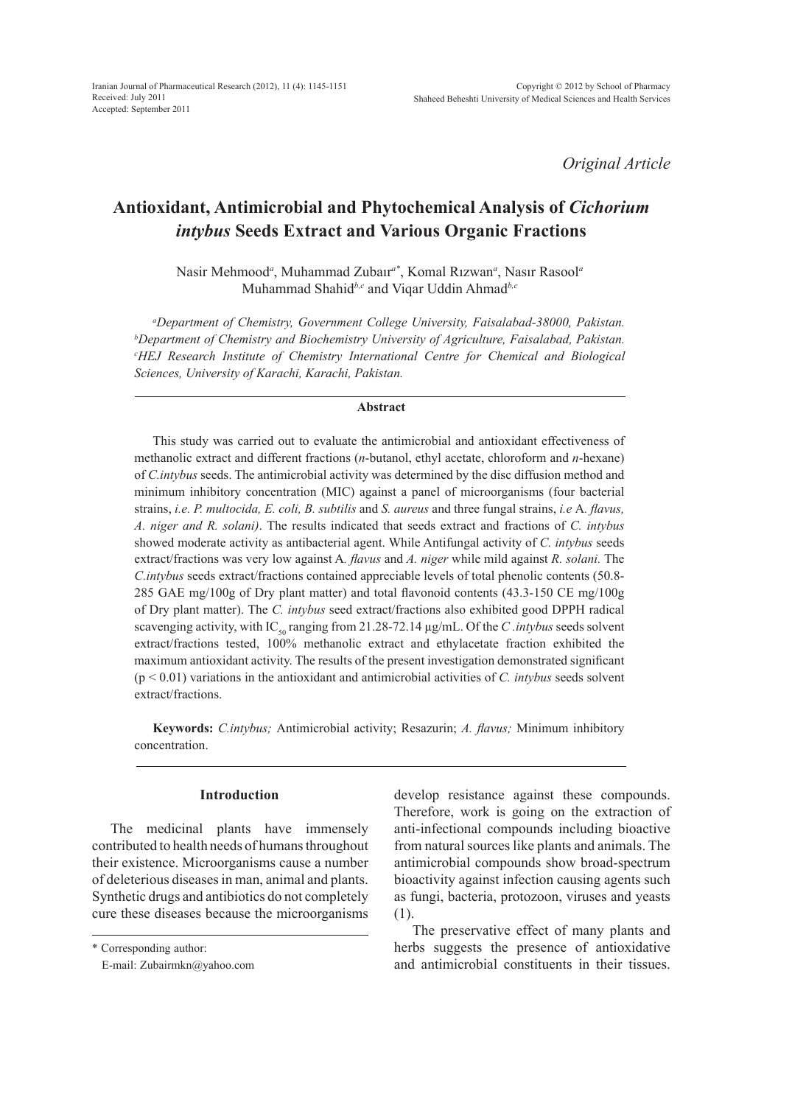*Original Article*

# **Antioxidant, Antimicrobial and Phytochemical Analysis of** *Cichorium intybus* **Seeds Extract and Various Organic Fractions**

Nasir Mehmood*<sup>a</sup>* , Muhammad Zubaır*a\**, Komal Rızwan*<sup>a</sup>* , Nasır Rasool*<sup>a</sup>* Muhammad Shahid*b,c* and Viqar Uddin Ahmad*b,c*

*a Department of Chemistry, Government College University, Faisalabad-38000, Pakistan. b Department of Chemistry and Biochemistry University of Agriculture, Faisalabad, Pakistan. c HEJ Research Institute of Chemistry International Centre for Chemical and Biological Sciences, University of Karachi, Karachi, Pakistan.*

#### **Abstract**

This study was carried out to evaluate the antimicrobial and antioxidant effectiveness of methanolic extract and different fractions (*n*-butanol, ethyl acetate, chloroform and *n*-hexane) of *C.intybus* seeds. The antimicrobial activity was determined by the disc diffusion method and minimum inhibitory concentration (MIC) against a panel of microorganisms (four bacterial strains, *i.e. P. multocida, E. coli, B. subtilis* and *S. aureus* and three fungal strains, *i.e* A*. flavus, A. niger and R. solani)*. The results indicated that seeds extract and fractions of *C. intybus*  showed moderate activity as antibacterial agent. While Antifungal activity of *C. intybus* seeds extract/fractions was very low against A*. flavus* and *A. niger* while mild against *R. solani.* The *C.intybus* seeds extract/fractions contained appreciable levels of total phenolic contents (50.8- 285 GAE mg/100g of Dry plant matter) and total flavonoid contents (43.3-150 CE mg/100g of Dry plant matter). The *C. intybus* seed extract/fractions also exhibited good DPPH radical scavenging activity, with IC<sub>50</sub> ranging from 21.28-72.14 µg/mL. Of the *C .intybus* seeds solvent extract/fractions tested, 100% methanolic extract and ethylacetate fraction exhibited the maximum antioxidant activity. The results of the present investigation demonstrated significant (p < 0.01) variations in the antioxidant and antimicrobial activities of *C. intybus* seeds solvent extract/fractions.

**Keywords:** *C.intybus;* Antimicrobial activity; Resazurin; *A. flavus;* Minimum inhibitory concentration.

## **Introduction**

The medicinal plants have immensely contributed to health needs of humans throughout their existence. Microorganisms cause a number of deleterious diseases in man, animal and plants. Synthetic drugs and antibiotics do not completely cure these diseases because the microorganisms

\* Corresponding author:

develop resistance against these compounds. Therefore, work is going on the extraction of anti-infectional compounds including bioactive from natural sources like plants and animals. The antimicrobial compounds show broad-spectrum bioactivity against infection causing agents such as fungi, bacteria, protozoon, viruses and yeasts (1).

The preservative effect of many plants and herbs suggests the presence of antioxidative and antimicrobial constituents in their tissues.

E-mail: Zubairmkn@yahoo.com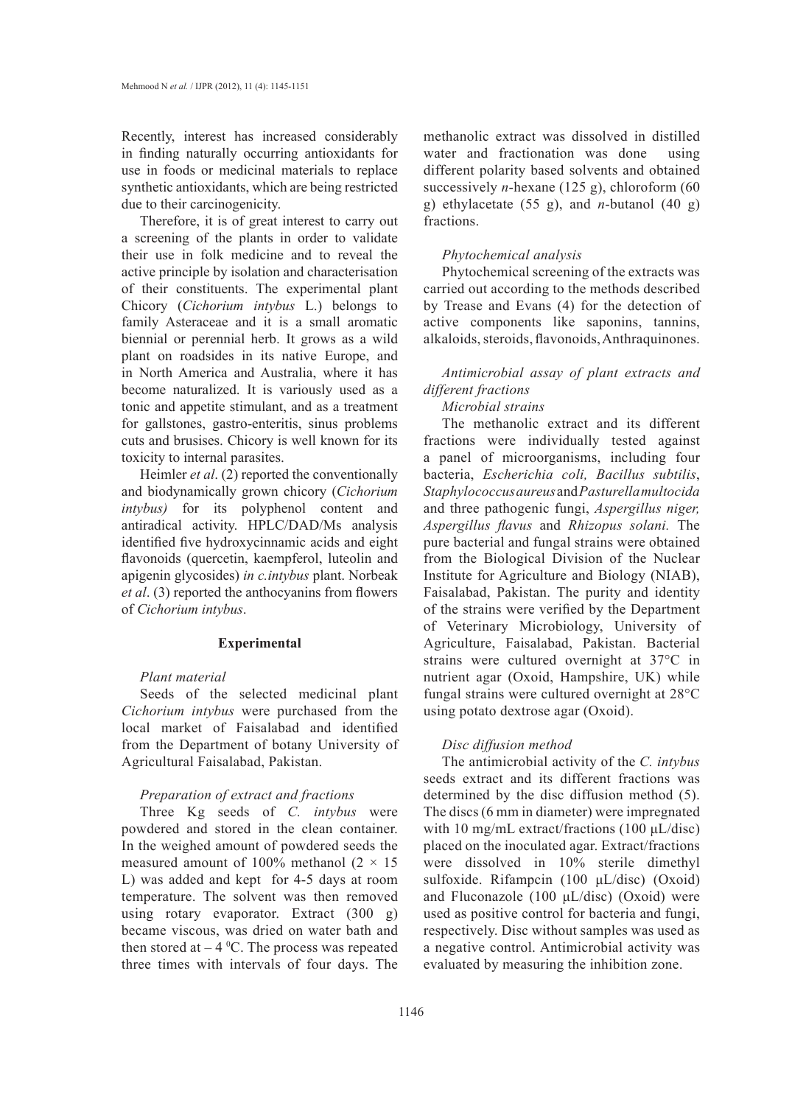Recently, interest has increased considerably in finding naturally occurring antioxidants for use in foods or medicinal materials to replace synthetic antioxidants, which are being restricted due to their carcinogenicity.

Therefore, it is of great interest to carry out a screening of the plants in order to validate their use in folk medicine and to reveal the active principle by isolation and characterisation of their constituents. The experimental plant Chicory (*Cichorium intybus* L.) belongs to family Asteraceae and it is a small aromatic biennial or perennial herb. It grows as a wild plant on roadsides in its native Europe, and in North America and Australia, where it has become naturalized. It is variously used as a tonic and appetite stimulant, and as a treatment for gallstones, gastro-enteritis, sinus problems cuts and brusises. Chicory is well known for its toxicity to internal parasites.

Heimler *et al*. (2) reported the conventionally and biodynamically grown chicory (*Cichorium intybus)* for its polyphenol content and antiradical activity. HPLC/DAD/Ms analysis identified five hydroxycinnamic acids and eight flavonoids (quercetin, kaempferol, luteolin and apigenin glycosides) *in c.intybus* plant. Norbeak *et al*. (3) reported the anthocyanins from flowers of *Cichorium intybus*.

## **Experimental**

## *Plant material*

Seeds of the selected medicinal plant *Cichorium intybus* were purchased from the local market of Faisalabad and identified from the Department of botany University of Agricultural Faisalabad, Pakistan.

## *Preparation of extract and fractions*

Three Kg seeds of *C. intybus* were powdered and stored in the clean container. In the weighed amount of powdered seeds the measured amount of 100% methanol ( $2 \times 15$ ) L) was added and kept for 4-5 days at room temperature. The solvent was then removed using rotary evaporator. Extract (300 g) became viscous, was dried on water bath and then stored at  $-4$  °C. The process was repeated three times with intervals of four days. The

methanolic extract was dissolved in distilled water and fractionation was done using different polarity based solvents and obtained successively *n*-hexane (125 g), chloroform (60 g) ethylacetate (55 g), and *n*-butanol (40 g) fractions.

## *Phytochemical analysis*

Phytochemical screening of the extracts was carried out according to the methods described by Trease and Evans (4) for the detection of active components like saponins, tannins, alkaloids, steroids, flavonoids, Anthraquinones.

# *Antimicrobial assay of plant extracts and different fractions*

# *Microbial strains*

The methanolic extract and its different fractions were individually tested against a panel of microorganisms, including four bacteria, *Escherichia coli, Bacillus subtilis*, *Staphylococcus aureus* and *Pasturella multocida*  and three pathogenic fungi, *Aspergillus niger, Aspergillus flavus* and *Rhizopus solani.* The pure bacterial and fungal strains were obtained from the Biological Division of the Nuclear Institute for Agriculture and Biology (NIAB), Faisalabad, Pakistan. The purity and identity of the strains were verified by the Department of Veterinary Microbiology, University of Agriculture, Faisalabad, Pakistan. Bacterial strains were cultured overnight at 37°C in nutrient agar (Oxoid, Hampshire, UK) while fungal strains were cultured overnight at 28°C using potato dextrose agar (Oxoid).

## *Disc diffusion method*

The antimicrobial activity of the *C. intybus* seeds extract and its different fractions was determined by the disc diffusion method (5). The discs (6 mm in diameter) were impregnated with 10 mg/mL extract/fractions (100 μL/disc) placed on the inoculated agar. Extract/fractions were dissolved in 10% sterile dimethyl sulfoxide. Rifampcin (100 μL/disc) (Oxoid) and Fluconazole (100 μL/disc) (Oxoid) were used as positive control for bacteria and fungi, respectively. Disc without samples was used as a negative control. Antimicrobial activity was evaluated by measuring the inhibition zone.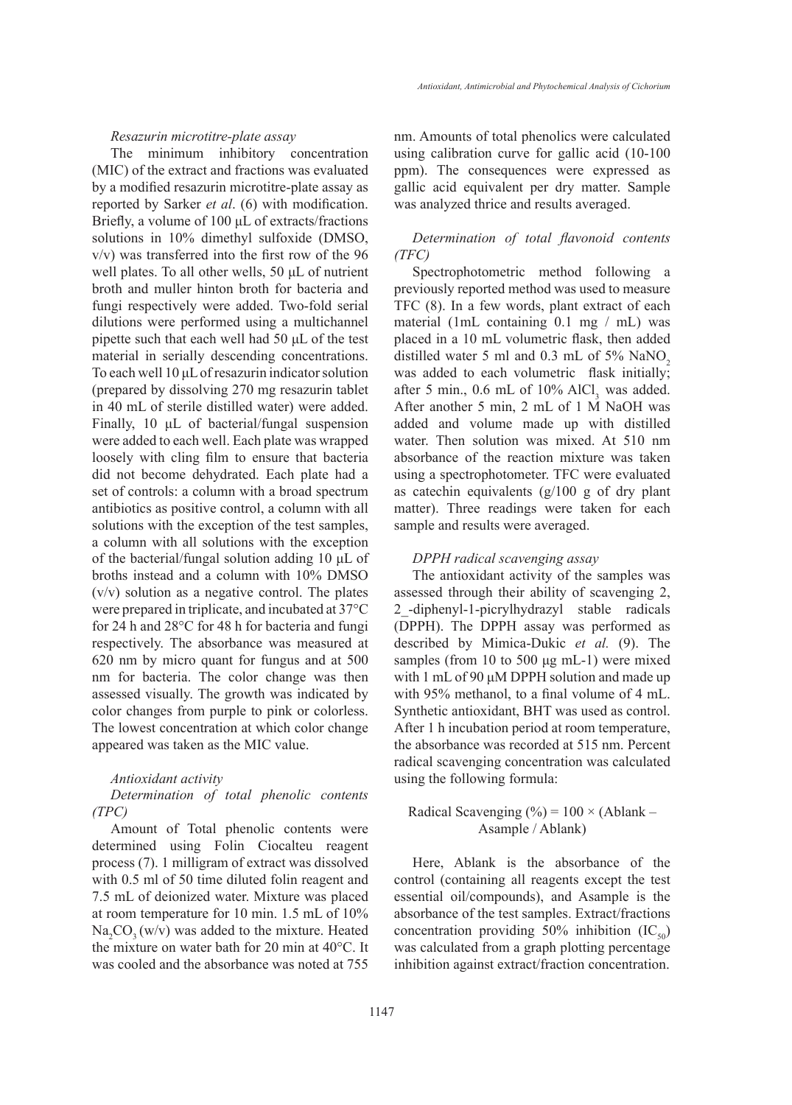#### *Resazurin microtitre-plate assay*

The minimum inhibitory concentration (MIC) of the extract and fractions was evaluated by a modified resazurin microtitre-plate assay as reported by Sarker *et al*. (6) with modification. Briefly, a volume of 100 μL of extracts/fractions solutions in 10% dimethyl sulfoxide (DMSO, v/v) was transferred into the first row of the 96 well plates. To all other wells, 50 μL of nutrient broth and muller hinton broth for bacteria and fungi respectively were added. Two-fold serial dilutions were performed using a multichannel pipette such that each well had 50 μL of the test material in serially descending concentrations. To each well 10 μL of resazurin indicator solution (prepared by dissolving 270 mg resazurin tablet in 40 mL of sterile distilled water) were added. Finally, 10 μL of bacterial/fungal suspension were added to each well. Each plate was wrapped loosely with cling film to ensure that bacteria did not become dehydrated. Each plate had a set of controls: a column with a broad spectrum antibiotics as positive control, a column with all solutions with the exception of the test samples, a column with all solutions with the exception of the bacterial/fungal solution adding 10 μL of broths instead and a column with 10% DMSO (v/v) solution as a negative control. The plates were prepared in triplicate, and incubated at 37°C for 24 h and 28°C for 48 h for bacteria and fungi respectively. The absorbance was measured at 620 nm by micro quant for fungus and at 500 nm for bacteria. The color change was then assessed visually. The growth was indicated by color changes from purple to pink or colorless. The lowest concentration at which color change appeared was taken as the MIC value.

#### *Antioxidant activity*

# *Determination of total phenolic contents (TPC)*

Amount of Total phenolic contents were determined using Folin Ciocalteu reagent process (7). 1 milligram of extract was dissolved with 0.5 ml of 50 time diluted folin reagent and 7.5 mL of deionized water. Mixture was placed at room temperature for 10 min. 1.5 mL of 10%  $\text{Na}_2\text{CO}_3(w/v)$  was added to the mixture. Heated the mixture on water bath for 20 min at 40°C. It was cooled and the absorbance was noted at 755

nm. Amounts of total phenolics were calculated using calibration curve for gallic acid (10-100 ppm). The consequences were expressed as gallic acid equivalent per dry matter. Sample was analyzed thrice and results averaged.

# *Determination of total flavonoid contents (TFC)*

Spectrophotometric method following a previously reported method was used to measure TFC (8). In a few words, plant extract of each material (1mL containing 0.1 mg / mL) was placed in a 10 mL volumetric flask, then added distilled water 5 ml and  $0.3$  mL of 5% NaNO<sub>2</sub> was added to each volumetric flask initially; after 5 min.,  $0.6$  mL of  $10\%$  AlCl, was added. After another 5 min, 2 mL of 1 M NaOH was added and volume made up with distilled water. Then solution was mixed. At 510 nm absorbance of the reaction mixture was taken using a spectrophotometer. TFC were evaluated as catechin equivalents (g/100 g of dry plant matter). Three readings were taken for each sample and results were averaged.

#### *DPPH radical scavenging assay*

The antioxidant activity of the samples was assessed through their ability of scavenging 2, 2\_-diphenyl-1-picrylhydrazyl stable radicals (DPPH). The DPPH assay was performed as described by Mimica-Dukic *et al.* (9). The samples (from 10 to 500 μg mL-1) were mixed with 1 mL of 90 μM DPPH solution and made up with 95% methanol, to a final volume of 4 mL. Synthetic antioxidant, BHT was used as control. After 1 h incubation period at room temperature, the absorbance was recorded at 515 nm. Percent radical scavenging concentration was calculated using the following formula:

Radical Scavenging  $(\%)=100 \times (Ablank -$ Asample / Ablank)

Here, Ablank is the absorbance of the control (containing all reagents except the test essential oil/compounds), and Asample is the absorbance of the test samples. Extract/fractions concentration providing 50% inhibition  $(IC_{50})$ was calculated from a graph plotting percentage inhibition against extract/fraction concentration.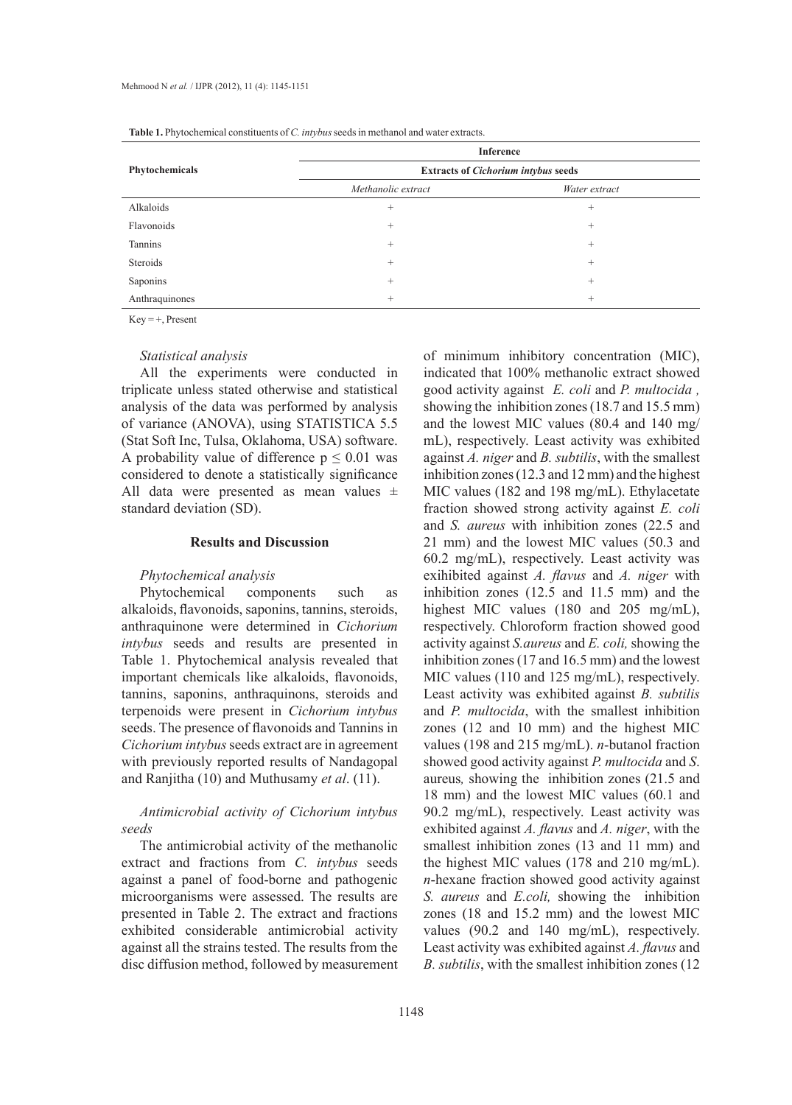| $\overline{\phantom{a}}$ | $\checkmark$<br>Inference                  |               |  |  |  |  |
|--------------------------|--------------------------------------------|---------------|--|--|--|--|
| Phytochemicals           | <b>Extracts of Cichorium intybus seeds</b> |               |  |  |  |  |
|                          | Methanolic extract                         | Water extract |  |  |  |  |
| Alkaloids                | $^{+}$                                     | $^{+}$        |  |  |  |  |
| Flavonoids               | $^{+}$                                     | $^{+}$        |  |  |  |  |
| Tannins                  | $^{+}$                                     | $^{+}$        |  |  |  |  |
| Steroids                 | $^{+}$                                     | $^{+}$        |  |  |  |  |
| Saponins                 | $^{+}$                                     | $^{+}$        |  |  |  |  |
| Anthraquinones           | $^{+}$                                     | $^{+}$        |  |  |  |  |

Table 1. Phytochemical constituents of *C. intybus* seeds in methanol and water extracts.

 $Key = +$ , Present

## *Statistical analysis*

All the experiments were conducted in triplicate unless stated otherwise and statistical analysis of the data was performed by analysis of variance (ANOVA), using STATISTICA 5.5 (Stat Soft Inc, Tulsa, Oklahoma, USA) software. A probability value of difference  $p \leq 0.01$  was considered to denote a statistically significance All data were presented as mean values  $\pm$ standard deviation (SD).

# **Results and Discussion**

## *Phytochemical analysis*

Phytochemical components such as alkaloids, flavonoids, saponins, tannins, steroids, anthraquinone were determined in *Cichorium intybus* seeds and results are presented in Table 1. Phytochemical analysis revealed that important chemicals like alkaloids, flavonoids, tannins, saponins, anthraquinons, steroids and terpenoids were present in *Cichorium intybus*  seeds. The presence of flavonoids and Tannins in *Cichorium intybus* seeds extract are in agreement with previously reported results of Nandagopal and Ranjitha (10) and Muthusamy *et al*. (11).

# *Antimicrobial activity of Cichorium intybus seeds*

The antimicrobial activity of the methanolic extract and fractions from *C. intybus* seeds against a panel of food-borne and pathogenic microorganisms were assessed. The results are presented in Table 2. The extract and fractions exhibited considerable antimicrobial activity against all the strains tested. The results from the disc diffusion method, followed by measurement of minimum inhibitory concentration (MIC), indicated that 100% methanolic extract showed good activity against *E. coli* and *P. multocida ,*  showing the inhibition zones (18.7 and 15.5 mm) and the lowest MIC values (80.4 and 140 mg/ mL), respectively. Least activity was exhibited against *A. niger* and *B. subtilis*, with the smallest inhibition zones (12.3 and 12 mm) and the highest MIC values (182 and 198 mg/mL). Ethylacetate fraction showed strong activity against *E. coli* and *S. aureus* with inhibition zones (22.5 and 21 mm) and the lowest MIC values (50.3 and 60.2 mg/mL), respectively. Least activity was exihibited against *A. flavus* and *A. niger* with inhibition zones (12.5 and 11.5 mm) and the highest MIC values (180 and 205 mg/mL), respectively. Chloroform fraction showed good activity against *S.aureus* and *E. coli,* showing the inhibition zones (17 and 16.5 mm) and the lowest MIC values (110 and 125 mg/mL), respectively. Least activity was exhibited against *B. subtilis*  and *P. multocida*, with the smallest inhibition zones (12 and 10 mm) and the highest MIC values (198 and 215 mg/mL). *n*-butanol fraction showed good activity against *P. multocida* and *S*. aureus*,* showing the inhibition zones (21.5 and 18 mm) and the lowest MIC values (60.1 and 90.2 mg/mL), respectively. Least activity was exhibited against *A. flavus* and *A. niger*, with the smallest inhibition zones (13 and 11 mm) and the highest MIC values (178 and 210 mg/mL). *n*-hexane fraction showed good activity against *S. aureus* and *E.coli,* showing the inhibition zones (18 and 15.2 mm) and the lowest MIC values (90.2 and 140 mg/mL), respectively. Least activity was exhibited against *A. flavus* and *B. subtilis*, with the smallest inhibition zones (12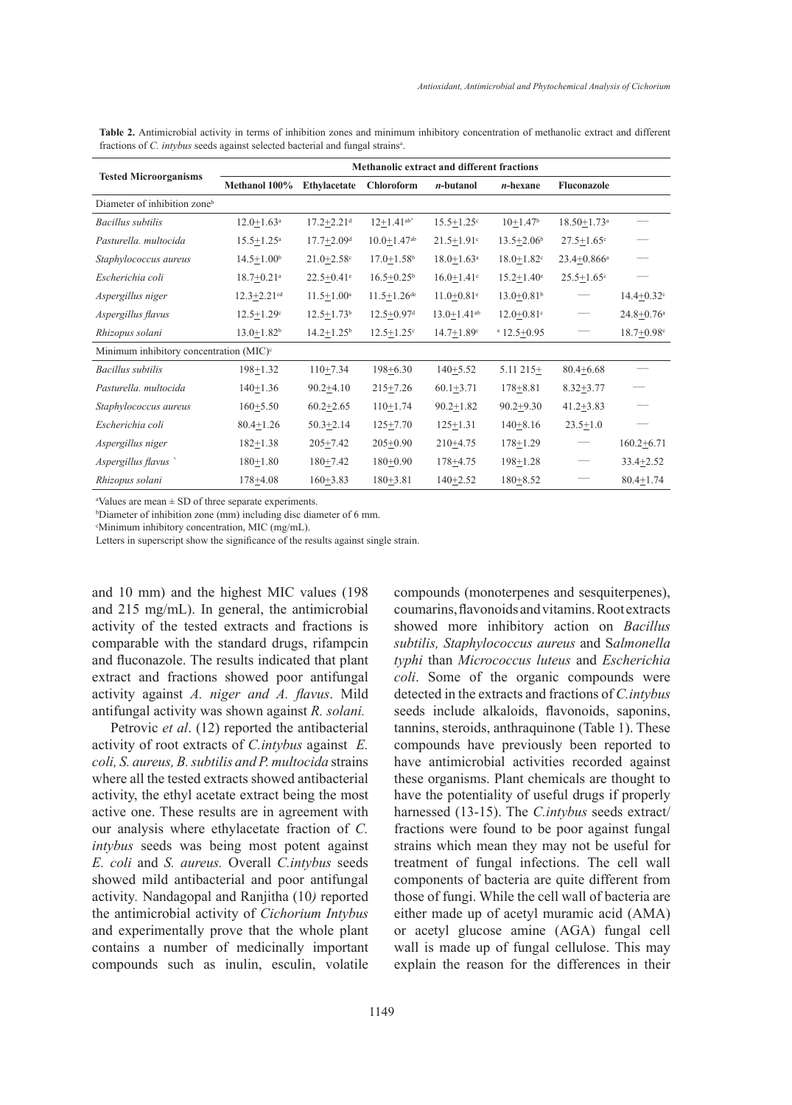|                                            | <b>Methanolic extract and different fractions</b> |                              |                              |                               |                            |                             |                            |  |  |  |
|--------------------------------------------|---------------------------------------------------|------------------------------|------------------------------|-------------------------------|----------------------------|-----------------------------|----------------------------|--|--|--|
| <b>Tested Microorganisms</b>               | Methanol 100%                                     | <b>Ethylacetate</b>          | <b>Chloroform</b>            | $n$ -butanol                  | $n$ -hexane                | <b>Fluconazole</b>          |                            |  |  |  |
| Diameter of inhibition zone <sup>b</sup>   |                                                   |                              |                              |                               |                            |                             |                            |  |  |  |
| Bacillus subtilis                          | $12.0 + 1.63$ <sup>a</sup>                        | $17.2 + 2.21$ <sup>d</sup>   | $12+1.41^{ab}$               | $15.5 + 1.25$ <sup>c</sup>    | $10+1.47b$                 | $18.50 + 1.73$ <sup>a</sup> | ------                     |  |  |  |
| Pasturella, multocida                      | $15.5 + 1.25^a$                                   | $17.7 \pm 2.09$ <sup>d</sup> | $10.0 + 1.47$ <sup>ab</sup>  | $21.5 \pm 1.91$ <sup>c</sup>  | $13.5 \pm 2.06^b$          | $27.5 \pm 1.65$ c           | ------                     |  |  |  |
| Staphylococcus aureus                      | $14.5 + 1.00b$                                    | $21.0 + 2.58$ c              | $17.0 + 1.58$ <sup>b</sup>   | $18.0 + 1.63$ <sup>a</sup>    | $18.0 + 1.82$ <sup>c</sup> | $23.4 + 0.866$ <sup>a</sup> | ------                     |  |  |  |
| Escherichia coli                           | $18.7 + 0.21$ <sup>a</sup>                        | $22.5 + 0.41$ <sup>e</sup>   | $16.5 + 0.25^b$              | $16.0 + 1.41$ <sup>c</sup>    | $15.2 + 1.40^e$            | $25.5 + 1.65$ <sup>c</sup>  | ------                     |  |  |  |
| Aspergillus niger                          | $12.3 + 2.21$ <sup>cd</sup>                       | $11.5 + 1.00^a$              | $11.5 + 1.26$ <sup>de</sup>  | $11.0 + 0.81$ <sup>e</sup>    | $13.0 + 0.81$ <sup>b</sup> | ------                      | $14.4 + 0.32$ <sup>c</sup> |  |  |  |
| Aspergillus flavus                         | $12.5 \pm 1.29$ <sup>c</sup>                      | $12.5 \pm 1.73$ <sup>b</sup> | $12.5 \pm 0.97$ <sup>d</sup> | $13.0 \pm 1.41$ <sup>ab</sup> | $12.0 + 0.81$ <sup>c</sup> | ------                      | $24.8 + 0.76$ <sup>a</sup> |  |  |  |
| Rhizopus solani                            | $13.0 + 1.82^b$                                   | $14.2 + 1.25$ <sup>b</sup>   | $12.5 + 1.25$ <sup>c</sup>   | $14.7 + 1.89$ <sup>c</sup>    | $a$ 12.5+0.95              | ------                      | $18.7 + 0.98$ c            |  |  |  |
| Minimum inhibitory concentration $(MIC)^c$ |                                                   |                              |                              |                               |                            |                             |                            |  |  |  |
| <b>Bacillus</b> subtilis                   | $198 + 1.32$                                      | $110+7.34$                   | $198 + 6.30$                 | $140 + 5.52$                  | $5.11$ 215+                | $80.4 + 6.68$               | ------                     |  |  |  |
| Pasturella, multocida                      | $140+1.36$                                        | $90.2 + 4.10$                | $215 + 7.26$                 | $60.1 + 3.71$                 | $178 + 8.81$               | $8.32 + 3.77$               | ------                     |  |  |  |
| Staphylococcus aureus                      | $160+5.50$                                        | $60.2 \pm 2.65$              | $110+1.74$                   | $90.2 \pm 1.82$               | $90.2 + 9.30$              | $41.2 + 3.83$               |                            |  |  |  |
| Escherichia coli                           | $80.4 \pm 1.26$                                   | $50.3 \pm 2.14$              | $125 + 7.70$                 | $125 \pm 1.31$                | $140 + 8.16$               | $23.5 \pm 1.0$              | ------                     |  |  |  |
| Aspergillus niger                          | $182+1.38$                                        | $205+7.42$                   | $205+0.90$                   | $210+4.75$                    | $178 + 1.29$               | ------                      | $160.2 + 6.71$             |  |  |  |
| Aspergillus flavus                         | $180+1.80$                                        | $180+7.42$                   | $180+0.90$                   | 178+4.75                      | $198 + 1.28$               | ------                      | $33.4 + 2.52$              |  |  |  |
| Rhizopus solani                            | $178 + 4.08$                                      | $160 + 3.83$                 | $180 + 3.81$                 | $140 + 2.52$                  | $180 + 8.52$               | ------                      | $80.4 + 1.74$              |  |  |  |

| <b>Table 2.</b> Antimicrobial activity in terms of inhibition zones and minimum inhibitory concentration of methanolic extract and different |  |  |  |  |  |  |
|----------------------------------------------------------------------------------------------------------------------------------------------|--|--|--|--|--|--|
| fractions of <i>C. intybus</i> seeds against selected bacterial and fungal strains <sup>a</sup> .                                            |  |  |  |  |  |  |

a Values are mean ± SD of three separate experiments.

b Diameter of inhibition zone (mm) including disc diameter of 6 mm.

c Minimum inhibitory concentration, MIC (mg/mL).

Letters in superscript show the significance of the results against single strain.

and 10 mm) and the highest MIC values (198 and 215 mg/mL). In general, the antimicrobial activity of the tested extracts and fractions is comparable with the standard drugs, rifampcin and fluconazole. The results indicated that plant extract and fractions showed poor antifungal activity against *A. niger and A. flavus*. Mild antifungal activity was shown against *R. solani.*

Petrovic *et al*. (12) reported the antibacterial activity of root extracts of *C.intybus* against *E. coli, S. aureus, B. subtilis and P. multocida* strains where all the tested extracts showed antibacterial activity, the ethyl acetate extract being the most active one. These results are in agreement with our analysis where ethylacetate fraction of *C. intybus* seeds was being most potent against *E. coli* and *S. aureus.* Overall *C.intybus* seeds showed mild antibacterial and poor antifungal activity*.* Nandagopal and Ranjitha (10*)* reported the antimicrobial activity of *Cichorium Intybus* and experimentally prove that the whole plant contains a number of medicinally important compounds such as inulin, esculin, volatile compounds (monoterpenes and sesquiterpenes), coumarins, flavonoids and vitamins. Root extracts showed more inhibitory action on *Bacillus subtilis, Staphylococcus aureus* and S*almonella typhi* than *Micrococcus luteus* and *Escherichia coli*. Some of the organic compounds were detected in the extracts and fractions of *C.intybus* seeds include alkaloids, flavonoids, saponins, tannins, steroids, anthraquinone (Table 1). These compounds have previously been reported to have antimicrobial activities recorded against these organisms. Plant chemicals are thought to have the potentiality of useful drugs if properly harnessed (13-15). The *C.intybus* seeds extract/ fractions were found to be poor against fungal strains which mean they may not be useful for treatment of fungal infections. The cell wall components of bacteria are quite different from those of fungi. While the cell wall of bacteria are either made up of acetyl muramic acid (AMA) or acetyl glucose amine (AGA) fungal cell wall is made up of fungal cellulose. This may explain the reason for the differences in their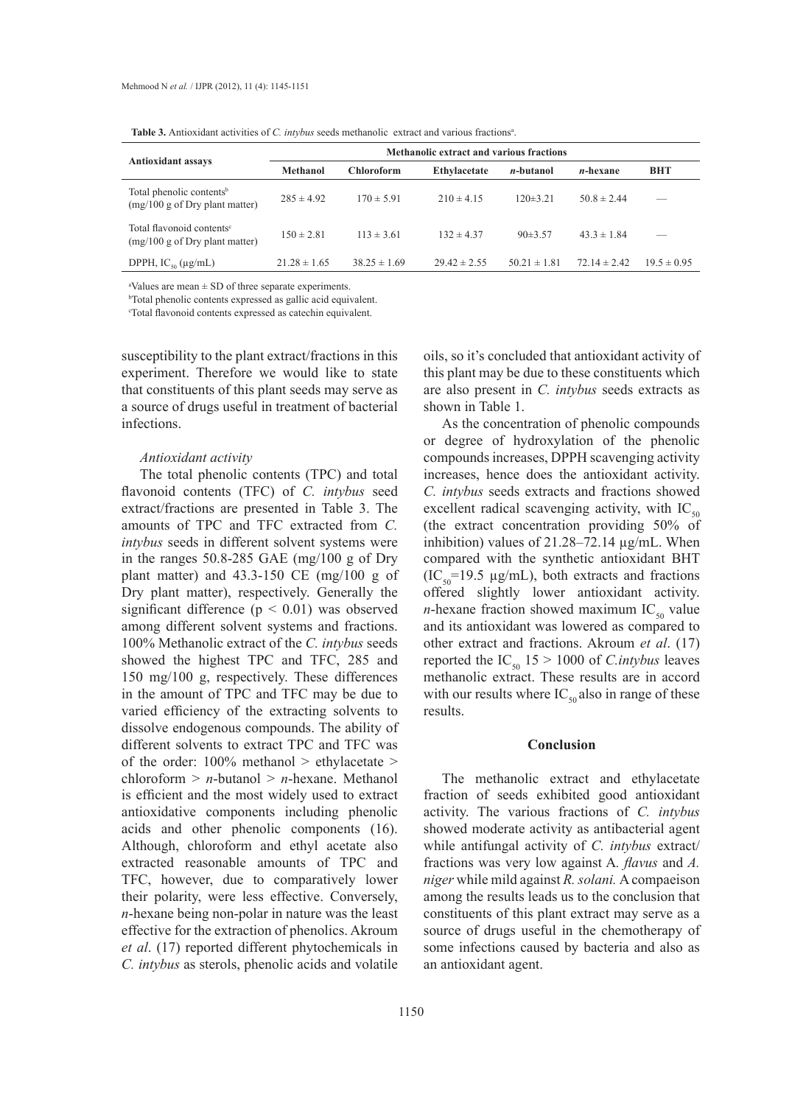|                                                                           | Methanolic extract and various fractions |                   |                     |                   |                  |                 |  |  |  |
|---------------------------------------------------------------------------|------------------------------------------|-------------------|---------------------|-------------------|------------------|-----------------|--|--|--|
| <b>Antioxidant assays</b>                                                 | Methanol                                 | <b>Chloroform</b> | <b>Ethylacetate</b> | <i>n</i> -butanol | <i>n</i> -hexane | <b>BHT</b>      |  |  |  |
| Total phenolic contents <sup>b</sup><br>$(mg/100 g$ of Dry plant matter)  | $285 \pm 4.92$                           | $170 \pm 5.91$    | $210 \pm 4.15$      | $120\pm3.21$      | $50.8 \pm 2.44$  |                 |  |  |  |
| Total flavonoid contents <sup>e</sup><br>$(mg/100 g$ of Dry plant matter) | $150 \pm 2.81$                           | $113 \pm 3.61$    | $132 \pm 4.37$      | 90±3.57           | $43.3 \pm 1.84$  |                 |  |  |  |
| DPPH, $IC_{so}(\mu g/mL)$                                                 | $21.28 \pm 1.65$                         | $38.25 \pm 1.69$  | $29.42 \pm 2.55$    | $50.21 \pm 1.81$  | $72.14 \pm 2.42$ | $19.5 \pm 0.95$ |  |  |  |

a Values are mean ± SD of three separate experiments.

b Total phenolic contents expressed as gallic acid equivalent.

c Total flavonoid contents expressed as catechin equivalent.

susceptibility to the plant extract/fractions in this experiment. Therefore we would like to state that constituents of this plant seeds may serve as a source of drugs useful in treatment of bacterial infections.

#### *Antioxidant activity*

The total phenolic contents (TPC) and total flavonoid contents (TFC) of *C. intybus* seed extract/fractions are presented in Table 3. The amounts of TPC and TFC extracted from *C. intybus* seeds in different solvent systems were in the ranges 50.8-285 GAE (mg/100 g of Dry plant matter) and 43.3-150 CE (mg/100 g of Dry plant matter), respectively. Generally the significant difference  $(p < 0.01)$  was observed among different solvent systems and fractions. 100% Methanolic extract of the *C. intybus* seeds showed the highest TPC and TFC, 285 and 150 mg/100 g, respectively. These differences in the amount of TPC and TFC may be due to varied efficiency of the extracting solvents to dissolve endogenous compounds. The ability of different solvents to extract TPC and TFC was of the order:  $100\%$  methanol > ethylacetate > chloroform > *n*-butanol > *n*-hexane. Methanol is efficient and the most widely used to extract antioxidative components including phenolic acids and other phenolic components (16). Although, chloroform and ethyl acetate also extracted reasonable amounts of TPC and TFC, however, due to comparatively lower their polarity, were less effective. Conversely, *n*-hexane being non-polar in nature was the least effective for the extraction of phenolics. Akroum *et al*. (17) reported different phytochemicals in *C. intybus* as sterols, phenolic acids and volatile

oils, so it's concluded that antioxidant activity of this plant may be due to these constituents which are also present in *C. intybus* seeds extracts as shown in Table 1.

As the concentration of phenolic compounds or degree of hydroxylation of the phenolic compounds increases, DPPH scavenging activity increases, hence does the antioxidant activity. *C. intybus* seeds extracts and fractions showed excellent radical scavenging activity, with  $IC_{50}$ (the extract concentration providing 50% of inhibition) values of 21.28–72.14 µg/mL. When compared with the synthetic antioxidant BHT  $(IC_{50} = 19.5 \mu g/mL)$ , both extracts and fractions offered slightly lower antioxidant activity. *n*-hexane fraction showed maximum  $IC_{50}$  value and its antioxidant was lowered as compared to other extract and fractions. Akroum *et al*. (17) reported the  $IC_{50}$  15 > 1000 of *C.intybus* leaves methanolic extract. These results are in accord with our results where  $IC_{50}$  also in range of these results.

## **Conclusion**

The methanolic extract and ethylacetate fraction of seeds exhibited good antioxidant activity. The various fractions of *C. intybus*  showed moderate activity as antibacterial agent while antifungal activity of *C. intybus* extract/ fractions was very low against A*. flavus* and *A. niger* while mild against *R. solani.* A compaeison among the results leads us to the conclusion that constituents of this plant extract may serve as a source of drugs useful in the chemotherapy of some infections caused by bacteria and also as an antioxidant agent.